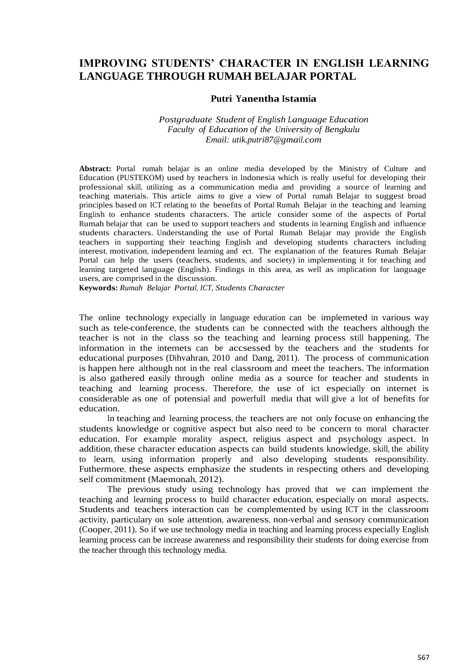# **IMPROVING STUDENTS' CHARACTER IN ENGLISH LEARNING LANGUAGE THROUGH RUMAH BELAJAR PORTAL**

## **Putri Yanentha Istamia**

## *Postgraduate Student of English Language Education Faculty of Education of the University of Bengkulu Email: [utik.putri87@gmail.com](mailto:utik.putri87@gmail.com)*

**Abstract:** Portal rumah belajar is an online media developed by the Ministry of Culture and Education (PUSTEKOM) used by teachers in Indonesia which is really useful for developing their professional skill, utilizing as a communication media and providing a source of learning and teaching materials. This article aims to give a view of Portal rumah Belajar to suggest broad principles based on ICT relating to the benefits of Portal Rumah Belajar in the teaching and learning English to enhance students characters. The article consider some of the aspects of Portal Rumah belajar that can be used to support teachers and students in learning English and influence students characters. Understanding the use of Portal Rumah Belajar may provide the English teachers in supporting their teaching English and developing students characters including interest, motivation, independent learning and ect. The explanation of the features Rumah Belajar Portal can help the users (teachers, students, and society) in implementing it for teaching and learning targeted language (English). Findings in this area, as well as implication for language users, are comprised in the discussion.

**Keywords:** *Rumah Belajar Portal, ICT, Students Character*

The online technology expecially in language education can be implemeted in various way such as tele-conference, the students can be connected with the teachers although the teacher is not in the class so the teaching and learning process still happening. The information in the internets can be accsessed by the teachers and the students for educational purposes (Dihvahran, 2010 and Dang, 2011). The process of communication is happen here although not in the real classroom and meet the teachers. The information is also gathered easily through online media as a source for teacher and students in teaching and learning process. Therefore, the use of ict especially on internet is considerable as one of potensial and powerfull media that will give a lot of benefits for education.

In teaching and learning process, the teachers are not only focuse on enhancing the students knowledge or cognitive aspect but also need to be concern to moral character education. For example morality aspect, religius aspect and psychology aspect. In addition, these character education aspects can build students knowledge, skill, the ability to learn, using information properly and also developing students responsibility. Futhermore, these aspects emphasize the students in respecting others and developing self commitment (Maemonah, 2012).

The previous study using technology has proved that we can implement the teaching and learning process to build character education, especially on moral aspects. Students and teachers interaction can be complemented by using ICT in the classroom activity, particulary on sole attention, awareness, non-verbal and sensory communication (Cooper, 2011). So if we use technology media in teaching and learning process expecially English learning process can be increase awareness and responsibility their students for doing exercise from the teacher through this technology media.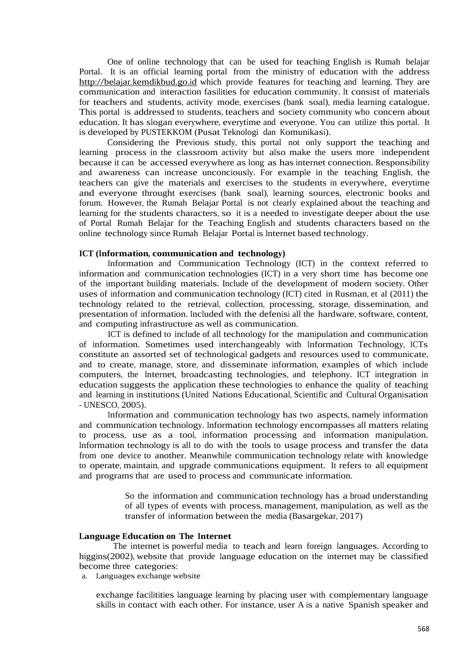One of online technology that can be used for teaching English is Rumah belajar Portal. It is an official learning portal from the ministry of education with the address [http://belajar.kemdikbud.go.id](http://belajar.kemdikbud.go.id/) which provide features for teaching and learning. They are communication and interaction fasilities for education community. It consist of materials for teachers and students, activity mode, exercises (bank soal), media learning catalogue. This portal is addressed to students, teachers and society community who concern about education. It has slogan everywhere, everytime and everyone. You can utilize this portal. It is developed by PUSTEKKOM (Pusat Teknologi dan Komunikasi).

Considering the Previous study, this portal not only support the teaching and learning process in the classroom activity but also make the users more independent because it can be accessed everywhere as long as hasinternet connection. Responsibility and awareness can increase unconciously. For example in the teaching English, the teachers can give the materials and exercises to the students in everywhere, everytime and everyone throught exercises (bank soal), learning sources, electronic books and forum. However, the Rumah Belajar Portal is not clearly explained about the teaching and learning for the students characters, so it is a needed to investigate deeper about the use of Portal Rumah Belajar for the Teaching English and students characters based on the online technology since Rumah Belajar Portal is Internet based technology.

## **ICT (Information, communication and technology)**

Information and Communication Technology (ICT) in the context referred to information and communication technologies (ICT) in a very short time has become one of the important building materials. Include of the development of modern society. Other uses of information and communication technology (ICT) cited in Rusman, et al (2011) the technology related to the retrieval, collection, processing, storage, dissemination, and presentation of information. Included with the defenisi all the hardware, software, content, and computing infrastructure as well as communication.

ICT is defined to include of all technology for the manipulation and communication of information. Sometimes used interchangeably with Information Technology, ICTs constitute an assorted set of technological gadgets and resources used to communicate, and to create, manage, store, and disseminate information, examples of which include computers, the Internet, broadcasting technologies, and telephony. ICT integration in education suggests the application these technologies to enhance the quality of teaching and learning in institutions (United Nations Educational, Scientific and Cultural Organisation - UNESCO, 2005).

Information and communication technology has two aspects, namely information and communication technology. Information technology encompasses all matters relating to process, use as a tool, information processing and information manipulation. Information technology is all to do with the tools to usage process and transfer the data from one device to another. Meanwhile communication technology relate with knowledge to operate, maintain, and upgrade communications equipment. It refers to all equipment and programs that are used to process and communicate information.

> So the information and communication technology has a broad understanding of all types of events with process, management, manipulation, as well as the transfer of information between the media (Basargekar, 2017)

## **Language Education on The Internet**

The internet is powerful media to teach and learn foreign languages. According to higgins(2002), website that provide language education on the internet may be classified become three categories:

a. Languages exchange website

exchange facilitities language learning by placing user with complementary language skills in contact with each other. For instance, user A is a native Spanish speaker and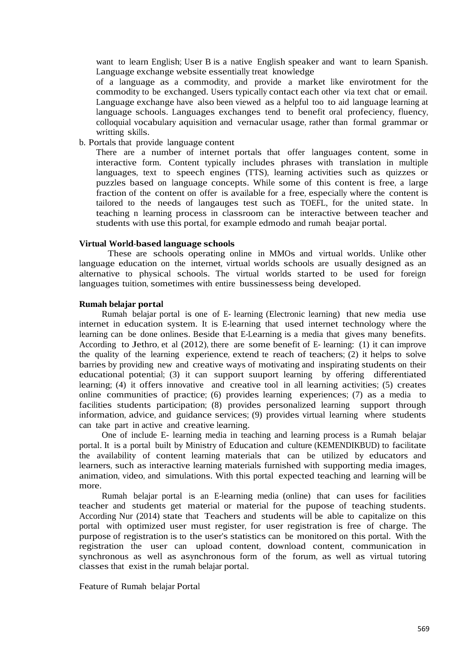want to learn English; User B is a native English speaker and want to learn Spanish. Language exchange website essentially treat knowledge

of a language as a commodity, and provide a market like envirotment for the commodity to be exchanged. Users typically contact each other via text chat or email. Language exchange have also been viewed as a helpful too to aid language learning at language schools. Languages exchanges tend to benefit oral profeciency, fluency, colloquial vocabulary aquisition and vernacular usage, rather than formal grammar or writting skills.

b. Portals that provide language content

There are a number of internet portals that offer languages content, some in interactive form. Content typically includes phrases with translation in multiple languages, text to speech engines (TTS), learning activities such as quizzes or puzzles based on language concepts. While some of this content is free, a large fraction of the content on offer is available for a free, especially where the content is tailored to the needs of langauges test such as TOEFL, for the united state. In teaching n learning process in classroom can be interactive between teacher and students with use this portal, for example edmodo and rumah beajar portal.

#### **Virtual World-based language schools**

These are schools operating online in MMOs and virtual worlds. Unlike other language education on the internet, virtual worlds schools are usually designed as an alternative to physical schools. The virtual worlds started to be used for foreign languages tuition, sometimes with entire bussinessess being developed.

#### **Rumah belajar portal**

Rumah belajar portal is one of E- learning (Electronic learning) that new media use internet in education system. It is E-learning that used internet technology where the learning can be done onlines. Beside that E-Learning is a media that gives many benefits. According to Jethro, et al (2012), there are some benefit of E- learning: (1) it can improve the quality of the learning experience, extend te reach of teachers; (2) it helps to solve barries by providing new and creative ways of motivating and inspirating students on their educational potential; (3) it can support suuport learning by offering differentiated learning; (4) it offers innovative and creative tool in all learning activities; (5) creates online communities of practice; (6) provides learning experiences; (7) as a media to facilities students participation; (8) provides personalized learning support through information, advice, and guidance services; (9) provides virtual learning where students can take part in active and creative learning.

One of include E- learning media in teaching and learning process is a Rumah belajar portal. It is a portal built by Ministry of Education and culture (KEMENDIKBUD) to facilitate the availability of content learning materials that can be utilized by educators and learners, such as interactive learning materials furnished with supporting media images, animation, video, and simulations. With this portal expected teaching and learning will be more.

Rumah belajar portal is an E-learning media (online) that can uses for facilities teacher and students get material or material for the pupose of teaching students. According Nur (2014) state that Teachers and students will be able to capitalize on this portal with optimized user must register, for user registration is free of charge. The purpose of registration is to the user's statistics can be monitored on this portal. With the registration the user can upload content, download content, communication in synchronous as well as asynchronous form of the forum, as well as virtual tutoring classes that exist in the rumah belajar portal.

Feature of Rumah belajar Portal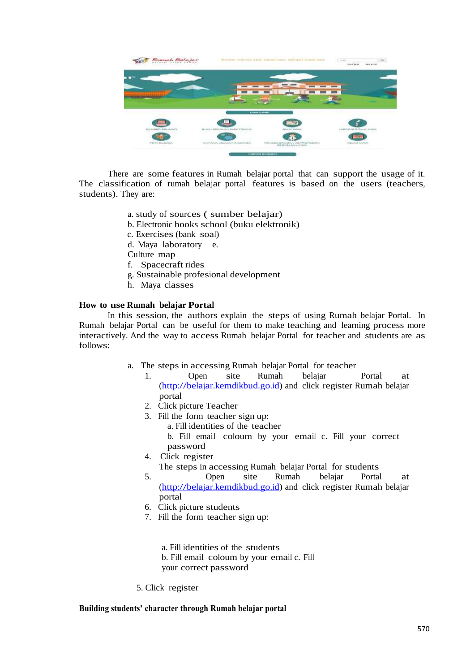

There are some features in Rumah belajar portal that can support the usage of it. The classification of rumah belajar portal features is based on the users (teachers, students). They are:

- a. study of sources ( sumber belajar)
- b. Electronic books school (buku elektronik)
- c. Exercises (bank soal)
- d. Maya laboratory e.
- Culture map
- f. Spacecraft rides
- g. Sustainable profesional development
- h. Maya classes

## **How to use Rumah belajar Portal**

In this session, the authors explain the steps of using Rumah belajar Portal. In Rumah belajar Portal can be useful for them to make teaching and learning process more interactively. And the way to access Rumah belajar Portal for teacher and students are as follows:

- a. The steps in accessing Rumah belajar Portal for teacher
	- 1. Open site Rumah belajar Portal at Open site Rumah belajar Portal at [\(http://belajar.kemdikbud.go.id\)](http://belajar.kemdikbud.go.id/) and click register Rumah belajar portal
	- 2. Click picture Teacher
	- 3. Fill the form teacher sign up:
		- a. Fill identities of the teacher

b. Fill email coloum by your email c. Fill your correct password

4. Click register

The steps in accessing Rumah belajar Portal for students

- 5. Open site Rumah belajar Portal at Open site Rumah belajar Portal at [\(http://belajar.kemdikbud.go.id\)](http://belajar.kemdikbud.go.id/) and click register Rumah belajar portal
- 6. Click picture students
- 7. Fill the form teacher sign up:
	- a. Fill identities of the students
	- b. Fill email coloum by your email c. Fill
	- your correct password
- 5. Click register

## **Building students' character through Rumah belajar portal**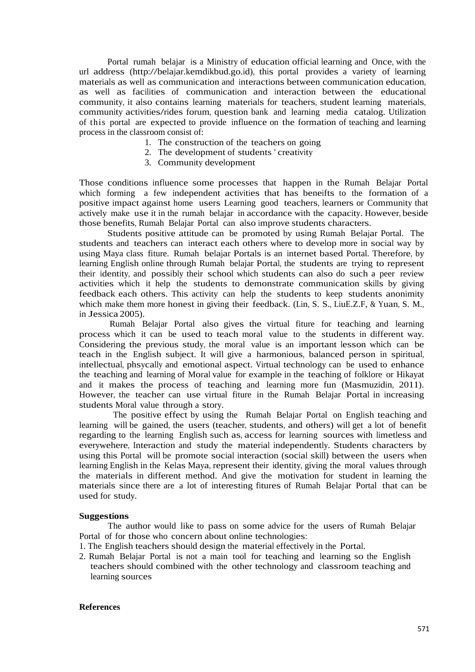Portal rumah belajar is a Ministry of education official learning and Once, with the url address [\(http://belajar.kemdikbud.go.id\)](http://belajar.kemdikbud.go.id/), this portal provides <sup>a</sup> variety of learning materials as well as communication and interactions between communication education, as well as facilities of communication and interaction between the educational community, it also contains learning materials for teachers, student learning materials, community activities/rides forum, question bank and learning media catalog. Utilization of this portal are expected to provide influence on the formation of teaching and learning process in the classroom consist of:

- 1. The construction of the teachers on going
- 2. The development of students ' creativity
- 3. Community development

Those conditions influence some processes that happen in the Rumah Belajar Portal which forming a few independent activities that has beneifts to the formation of a positive impact against home users Learning good teachers, learners or Community that actively make use it in the rumah belajar in accordance with the capacity. However, beside those benefits, Rumah Belajar Portal can also improve students characters.

Students positive attitude can be promoted by using Rumah Belajar Portal. The students and teachers can interact each others where to develop more in social way by using Maya class fiture. Rumah belajar Portals is an internet based Portal. Therefore, by learning English online through Rumah belajar Portal, the students are trying to represent their identity, and possibly their school which students can also do such a peer review activities which it help the students to demonstrate communication skills by giving feedback each others. This activity can help the students to keep students anonimity which make them more honest in giving their feedback. (Lin, S. S., LiuE.Z.F, & Yuan, S. M., in Jessica 2005).

Rumah Belajar Portal also gives the virtual fiture for teaching and learning process which it can be used to teach moral value to the students in different way. Considering the previous study, the moral value is an important lesson which can be teach in the English subject. It will give a harmonious, balanced person in spiritual, intellectual, phsycally and emotional aspect. Virtual technology can be used to enhance the teaching and learning of Moral value for example in the teaching of folklore or Hikayat and it makes the process of teaching and learning more fun (Masmuzidin, 2011). However, the teacher can use virtual fiture in the Rumah Belajar Portal in increasing students Moral value through a story.

The positive effect by using the Rumah Belajar Portal on English teaching and learning will be gained, the users (teacher, students, and others) will get a lot of benefit regarding to the learning English such as, access for learning sources with limetless and everywehere, Interaction and study the material independently. Students characters by using this Portal will be promote social interaction (social skill) between the users when learning English in the Kelas Maya, represent their identity, giving the moral values through the materials in different method. And give the motivation for student in learning the materials since there are a lot of interesting fitures of Rumah Belajar Portal that can be used for study.

#### **Suggestions**

The author would like to pass on some advice for the users of Rumah Belajar Portal of for those who concern about online technologies:

- 1. The English teachers should design the material effectively in the Portal.
- 2. Rumah Belajar Portal is not a main tool for teaching and learning so the English teachers should combined with the other technology and classroom teaching and learning sources

#### **References**